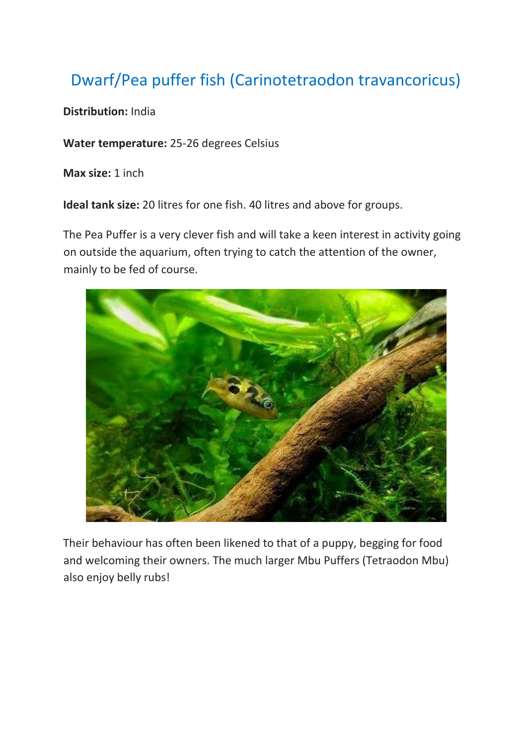## Dwarf/Pea puffer fish (Carinotetraodon travancoricus)

**Distribution:** India

**Water temperature:** 25-26 degrees Celsius

**Max size:** 1 inch

**Ideal tank size:** 20 litres for one fish. 40 litres and above for groups.

The Pea Puffer is a very clever fish and will take a keen interest in activity going on outside the aquarium, often trying to catch the attention of the owner, mainly to be fed of course.



Their behaviour has often been likened to that of a puppy, begging for food and welcoming their owners. The much larger Mbu Puffers (Tetraodon Mbu) also enjoy belly rubs!